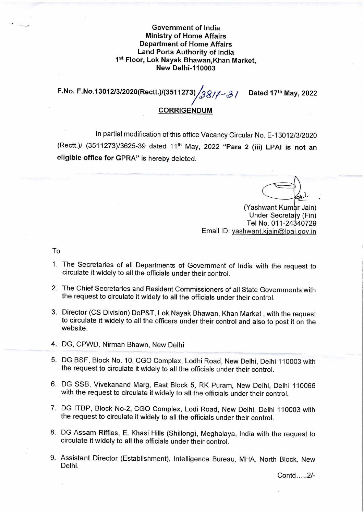## **Government of India Ministry of Home Affairs Department of Home Affairs Land Ports Authority of India 1st Floor, Lok Nayak Bhawan,Khan Market, New Delhi-110003**

F.No. F.No.13012/3/2020(Rectt.)/(3511273) 381 = 31 Dated 17<sup>th</sup> May, 2022

## **CORRIGENDUM**

In partial modification of this office Vacancy Circular No. E-13012/3/2020 (Rectt.)/ (3511273)/3625-39 dated 11th May, 2022 **"Para 2 (iii) LPAI is not an eligible office for GPRA"** is hereby deleted.

(Yashwant Kumar Jain) Under Secretary (Fin) Tel No. 011-24340729 Email ID: yashwant.kjain@lpai.gov.in

To

- 1. The Secretaries of all Departments of Government of India with the request to circulate it widely to all the officials under their control.
- 2. The Chief Secretaries and Resident Commissioners of all State Governments with the request to circulate it widely to all the officials under their control.
- 3. Director (CS Division) DoP&T, Lok Nayak Bhawan, Khan Market , with the request to circulate it widely to all the officers under their control and also to post it on the website.
- 4. DG, CPWD, Nirman Bhawn, New Delhi
- 5. DG BSF, Block No. 10, CGO Complex, Lodhi Road, New Delhi, Delhi 110003 with the request to circulate it widely to all the officials under their control.
- 6. DG SSB, Vivekanand Marg, East Block 5, RK Puram, New Delhi, Delhi 110066 with the request to circulate it widely to all the officials under their control.
- 7. DG ITBP, Block No-2, CGO Complex, Lodi Road, New Delhi, Delhi 110003 with the request to circulate it widely to all the officials under their control.
- 8. DG Assam Riffles, E. Khasi Hills (Shillong), Meghalaya, India with the request to circulate it widely to all the officials under their control.
- 9. Assistant Director (Establishment), Intelligence Bureau, MHA, North Block, New Delhi.

Contd.....2/-